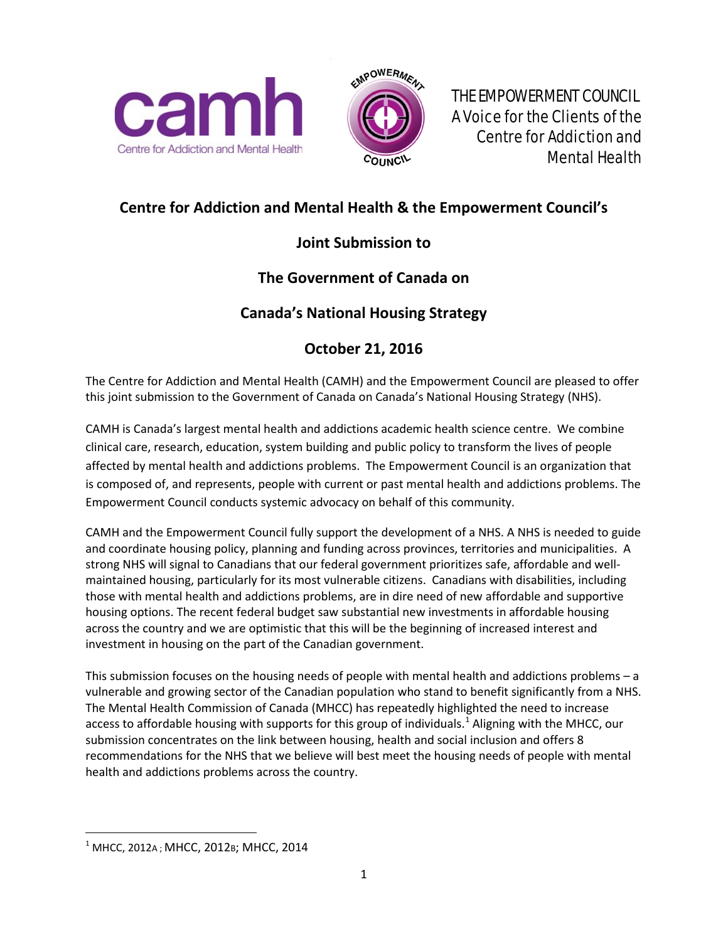



 THE EMPOWERMENT COUNCIL A Voice for the Clients of the Centre for Addiction and Mental Health

# **Centre for Addiction and Mental Health & the Empowerment Council's**

# **Joint Submission to**

# **The Government of Canada on**

## **Canada's National Housing Strategy**

# **October 21, 2016**

The Centre for Addiction and Mental Health (CAMH) and the Empowerment Council are pleased to offer this joint submission to the Government of Canada on Canada's National Housing Strategy (NHS).

CAMH is Canada's largest mental health and addictions academic health science centre. We combine clinical care, research, education, system building and public policy to transform the lives of people affected by mental health and addictions problems. The Empowerment Council is an organization that is composed of, and represents, people with current or past mental health and addictions problems. The Empowerment Council conducts systemic advocacy on behalf of this community.

CAMH and the Empowerment Council fully support the development of a NHS. A NHS is needed to guide and coordinate housing policy, planning and funding across provinces, territories and municipalities. A strong NHS will signal to Canadians that our federal government prioritizes safe, affordable and wellmaintained housing, particularly for its most vulnerable citizens. Canadians with disabilities, including those with mental health and addictions problems, are in dire need of new affordable and supportive housing options. The recent federal budget saw substantial new investments in affordable housing across the country and we are optimistic that this will be the beginning of increased interest and investment in housing on the part of the Canadian government.

This submission focuses on the housing needs of people with mental health and addictions problems – a vulnerable and growing sector of the Canadian population who stand to benefit significantly from a NHS. The Mental Health Commission of Canada (MHCC) has repeatedly highlighted the need to increase access to affordable housing with supports for this group of individuals.<sup>[1](#page-0-0)</sup> Aligning with the MHCC, our submission concentrates on the link between housing, health and social inclusion and offers 8 recommendations for the NHS that we believe will best meet the housing needs of people with mental health and addictions problems across the country.

<span id="page-0-0"></span> $1$  MHCC, 2012A; MHCC, 2012B; MHCC, 2014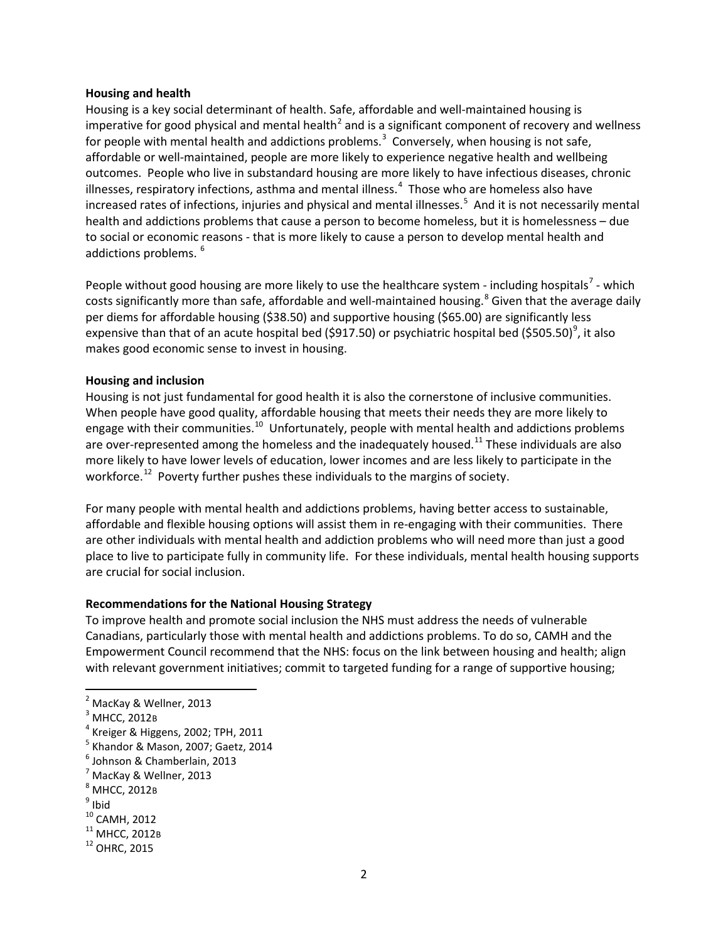#### **Housing and health**

Housing is a key social determinant of health. Safe, affordable and well-maintained housing is imperative for good physical and mental health<sup>[2](#page-1-0)</sup> and is a significant component of recovery and wellness for people with mental health and addictions problems.<sup>[3](#page-1-1)</sup> Conversely, when housing is not safe, affordable or well-maintained, people are more likely to experience negative health and wellbeing outcomes. People who live in substandard housing are more likely to have infectious diseases, chronic illnesses, respiratory infections, asthma and mental illness. $<sup>4</sup>$  $<sup>4</sup>$  $<sup>4</sup>$  Those who are homeless also have</sup> increased rates of infections, injuries and physical and mental illnesses. [5](#page-1-3) And it is not necessarily mental health and addictions problems that cause a person to become homeless, but it is homelessness – due to social or economic reasons - that is more likely to cause a person to develop mental health and addictions problems.<sup>[6](#page-1-4)</sup>

People without good housing are more likely to use the healthcare system - including hospitals<sup>[7](#page-1-5)</sup> - which costs significantly more than safe, affordable and well-maintained housing.<sup>[8](#page-1-6)</sup> Given that the average daily per diems for affordable housing (\$38.50) and supportive housing (\$65.00) are significantly less expensive than that of an acute hospital bed (\$[9](#page-1-7)17.50) or psychiatric hospital bed (\$505.50)<sup>9</sup>, it also makes good economic sense to invest in housing.

#### **Housing and inclusion**

Housing is not just fundamental for good health it is also the cornerstone of inclusive communities. When people have good quality, affordable housing that meets their needs they are more likely to engage with their communities.<sup>[10](#page-1-8)</sup> Unfortunately, people with mental health and addictions problems are over-represented among the homeless and the inadequately housed.<sup>[11](#page-1-9)</sup> These individuals are also more likely to have lower levels of education, lower incomes and are less likely to participate in the workforce.<sup>12</sup> Poverty further pushes these individuals to the margins of society.

For many people with mental health and addictions problems, having better access to sustainable, affordable and flexible housing options will assist them in re-engaging with their communities. There are other individuals with mental health and addiction problems who will need more than just a good place to live to participate fully in community life. For these individuals, mental health housing supports are crucial for social inclusion.

#### **Recommendations for the National Housing Strategy**

To improve health and promote social inclusion the NHS must address the needs of vulnerable Canadians, particularly those with mental health and addictions problems. To do so, CAMH and the Empowerment Council recommend that the NHS: focus on the link between housing and health; align with relevant government initiatives; commit to targeted funding for a range of supportive housing;

<span id="page-1-0"></span><sup>&</sup>lt;sup>2</sup> MacKay & Wellner, 2013

<span id="page-1-2"></span><span id="page-1-1"></span> $^3$  MHCC, 2012B<br> $^4$  Kreiger & Higgens, 2002; TPH, 2011

<span id="page-1-3"></span> $<sup>5</sup>$  Khandor & Mason, 2007; Gaetz, 2014<br> $<sup>6</sup>$  Johnson & Chamberlain, 2013</sup></sup>

<span id="page-1-4"></span>

<span id="page-1-5"></span><sup>7</sup> MacKay & Wellner, 2013

<span id="page-1-6"></span> $^8$  MHCC, 2012B<br>  $^9$  Ibid<br>
<sup>10</sup> CAMH, 2012

<span id="page-1-8"></span><span id="page-1-7"></span>

<span id="page-1-10"></span><span id="page-1-9"></span> $11$  MHCC, 2012 B<br> $12$  OHRC, 2015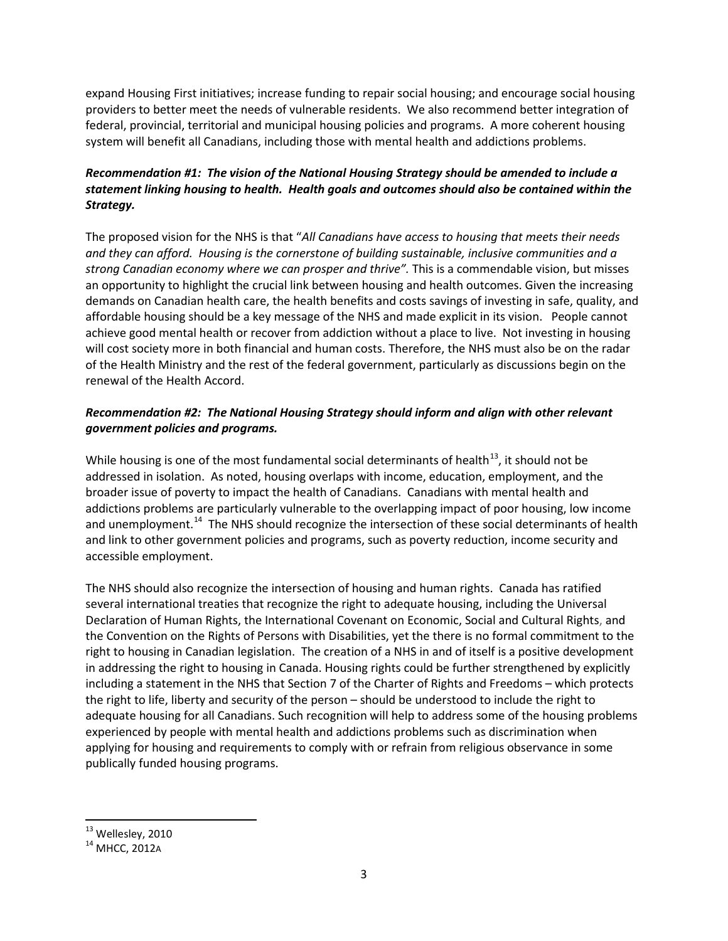expand Housing First initiatives; increase funding to repair social housing; and encourage social housing providers to better meet the needs of vulnerable residents. We also recommend better integration of federal, provincial, territorial and municipal housing policies and programs. A more coherent housing system will benefit all Canadians, including those with mental health and addictions problems.

## *Recommendation #1: The vision of the National Housing Strategy should be amended to include a statement linking housing to health. Health goals and outcomes should also be contained within the Strategy.*

The proposed vision for the NHS is that "*All Canadians have access to housing that meets their needs and they can afford. Housing is the cornerstone of building sustainable, inclusive communities and a strong Canadian economy where we can prosper and thrive".* This is a commendable vision, but misses an opportunity to highlight the crucial link between housing and health outcomes. Given the increasing demands on Canadian health care, the health benefits and costs savings of investing in safe, quality, and affordable housing should be a key message of the NHS and made explicit in its vision. People cannot achieve good mental health or recover from addiction without a place to live. Not investing in housing will cost society more in both financial and human costs. Therefore, the NHS must also be on the radar of the Health Ministry and the rest of the federal government, particularly as discussions begin on the renewal of the Health Accord.

## *Recommendation #2: The National Housing Strategy should inform and align with other relevant government policies and programs.*

While housing is one of the most fundamental social determinants of health $13$ , it should not be addressed in isolation. As noted, housing overlaps with income, education, employment, and the broader issue of poverty to impact the health of Canadians. Canadians with mental health and addictions problems are particularly vulnerable to the overlapping impact of poor housing, low income and unemployment.<sup>[14](#page-2-1)</sup> The NHS should recognize the intersection of these social determinants of health and link to other government policies and programs, such as poverty reduction, income security and accessible employment.

The NHS should also recognize the intersection of housing and human rights. Canada has ratified several international treaties that recognize the right to adequate housing, including the Universal Declaration of Human Rights, the International Covenant on Economic, Social and Cultural Rights, and the Convention on the Rights of Persons with Disabilities, yet the there is no formal commitment to the right to housing in Canadian legislation. The creation of a NHS in and of itself is a positive development in addressing the right to housing in Canada. Housing rights could be further strengthened by explicitly including a statement in the NHS that Section 7 of the Charter of Rights and Freedoms – which protects the right to life, liberty and security of the person – should be understood to include the right to adequate housing for all Canadians. Such recognition will help to address some of the housing problems experienced by people with mental health and addictions problems such as discrimination when applying for housing and requirements to comply with or refrain from religious observance in some publically funded housing programs.

<span id="page-2-0"></span> $^{13}$  Wellesley, 2010<br> $^{14}$  MHCC, 2012A

<span id="page-2-1"></span>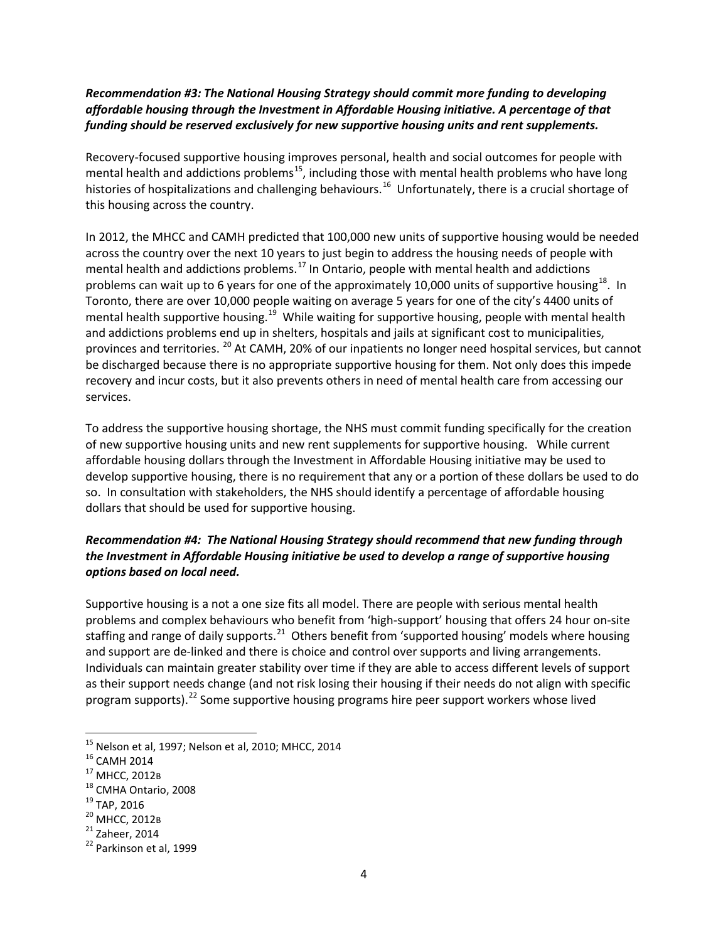### *Recommendation #3: The National Housing Strategy should commit more funding to developing affordable housing through the Investment in Affordable Housing initiative. A percentage of that funding should be reserved exclusively for new supportive housing units and rent supplements.*

Recovery-focused supportive housing improves personal, health and social outcomes for people with mental health and addictions problems<sup>15</sup>, including those with mental health problems who have long histories of hospitalizations and challenging behaviours.<sup>16</sup> Unfortunately, there is a crucial shortage of this housing across the country.

In 2012, the MHCC and CAMH predicted that 100,000 new units of supportive housing would be needed across the country over the next 10 years to just begin to address the housing needs of people with mental health and addictions problems.<sup>[17](#page-3-2)</sup> In Ontario, people with mental health and addictions problems can wait up to 6 years for one of the approximately 10,000 units of supportive housing<sup>18</sup>. In Toronto, there are over 10,000 people waiting on average 5 years for one of the city's 4400 units of mental health supportive housing.<sup>19</sup> While waiting for supportive housing, people with mental health and addictions problems end up in shelters, hospitals and jails at significant cost to municipalities, provinces and territories. [20](#page-3-5) At CAMH, 20% of our inpatients no longer need hospital services, but cannot be discharged because there is no appropriate supportive housing for them. Not only does this impede recovery and incur costs, but it also prevents others in need of mental health care from accessing our services.

To address the supportive housing shortage, the NHS must commit funding specifically for the creation of new supportive housing units and new rent supplements for supportive housing. While current affordable housing dollars through the Investment in Affordable Housing initiative may be used to develop supportive housing, there is no requirement that any or a portion of these dollars be used to do so. In consultation with stakeholders, the NHS should identify a percentage of affordable housing dollars that should be used for supportive housing.

## *Recommendation #4: The National Housing Strategy should recommend that new funding through the Investment in Affordable Housing initiative be used to develop a range of supportive housing options based on local need.*

Supportive housing is a not a one size fits all model. There are people with serious mental health problems and complex behaviours who benefit from 'high-support' housing that offers 24 hour on-site staffing and range of daily supports.<sup>[21](#page-3-6)</sup> Others benefit from 'supported housing' models where housing and support are de-linked and there is choice and control over supports and living arrangements. Individuals can maintain greater stability over time if they are able to access different levels of support as their support needs change (and not risk losing their housing if their needs do not align with specific program supports). $^{22}$  $^{22}$  $^{22}$  Some supportive housing programs hire peer support workers whose lived

<span id="page-3-1"></span><span id="page-3-0"></span><sup>&</sup>lt;sup>15</sup> Nelson et al, 1997; Nelson et al, 2010; MHCC, 2014<br>
<sup>16</sup> CAMH 2014<br>
<sup>17</sup> MHCC, 2012B<br>
<sup>18</sup> CMHA Ontario, 2008<br>
<sup>19</sup> TAP, 2016<br>
<sup>20</sup> MHCC, 2012B<br>
<sup>21</sup> Zaheer, 2014<br>
<sup>22</sup> Parkinson et al, 1999

<span id="page-3-2"></span>

<span id="page-3-3"></span>

<span id="page-3-4"></span>

<span id="page-3-5"></span>

<span id="page-3-6"></span>

<span id="page-3-7"></span>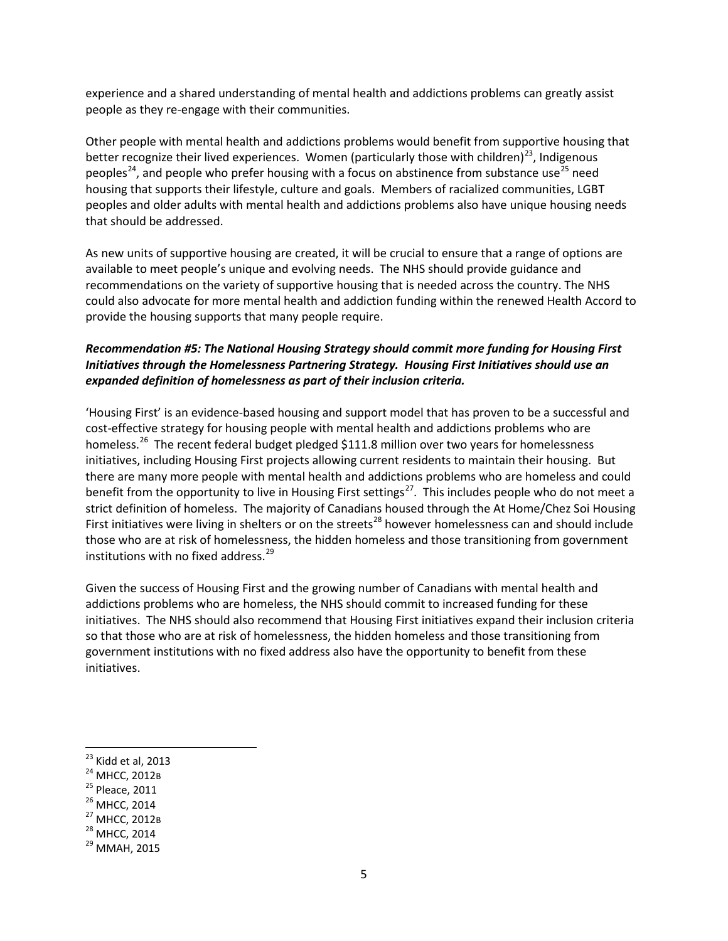experience and a shared understanding of mental health and addictions problems can greatly assist people as they re-engage with their communities.

Other people with mental health and addictions problems would benefit from supportive housing that better recognize their lived experiences. Women (particularly those with children)<sup>[23](#page-4-0)</sup>, Indigenous peoples<sup>24</sup>, and people who prefer housing with a focus on abstinence from substance use<sup>[25](#page-4-2)</sup> need housing that supports their lifestyle, culture and goals. Members of racialized communities, LGBT peoples and older adults with mental health and addictions problems also have unique housing needs that should be addressed.

As new units of supportive housing are created, it will be crucial to ensure that a range of options are available to meet people's unique and evolving needs. The NHS should provide guidance and recommendations on the variety of supportive housing that is needed across the country. The NHS could also advocate for more mental health and addiction funding within the renewed Health Accord to provide the housing supports that many people require.

#### *Recommendation #5: The National Housing Strategy should commit more funding for Housing First Initiatives through the Homelessness Partnering Strategy. Housing First Initiatives should use an expanded definition of homelessness as part of their inclusion criteria.*

'Housing First' is an evidence-based housing and support model that has proven to be a successful and cost-effective strategy for housing people with mental health and addictions problems who are homeless.<sup>26</sup> The recent federal budget pledged \$111.8 million over two years for homelessness initiatives, including Housing First projects allowing current residents to maintain their housing. But there are many more people with mental health and addictions problems who are homeless and could benefit from the opportunity to live in Housing First settings<sup>[27](#page-4-4)</sup>. This includes people who do not meet a strict definition of homeless. The majority of Canadians housed through the At Home/Chez Soi Housing First initiatives were living in shelters or on the streets<sup>[28](#page-4-5)</sup> however homelessness can and should include those who are at risk of homelessness, the hidden homeless and those transitioning from government institutions with no fixed address. [29](#page-4-6) 

Given the success of Housing First and the growing number of Canadians with mental health and addictions problems who are homeless, the NHS should commit to increased funding for these initiatives. The NHS should also recommend that Housing First initiatives expand their inclusion criteria so that those who are at risk of homelessness, the hidden homeless and those transitioning from government institutions with no fixed address also have the opportunity to benefit from these initiatives.

- <span id="page-4-2"></span>
- <span id="page-4-3"></span>
- <span id="page-4-4"></span>
- <span id="page-4-5"></span>

<span id="page-4-1"></span><span id="page-4-0"></span><sup>&</sup>lt;sup>23</sup> Kidd et al, 2013<br><sup>24</sup> MHCC, 2012B<br><sup>25</sup> Pleace, 2011<br><sup>26</sup> MHCC, 2014<br><sup>27</sup> MHCC, 2012B<br><sup>28</sup> MHCC, 2014<br><sup>29</sup> MMAH, 2015

<span id="page-4-6"></span>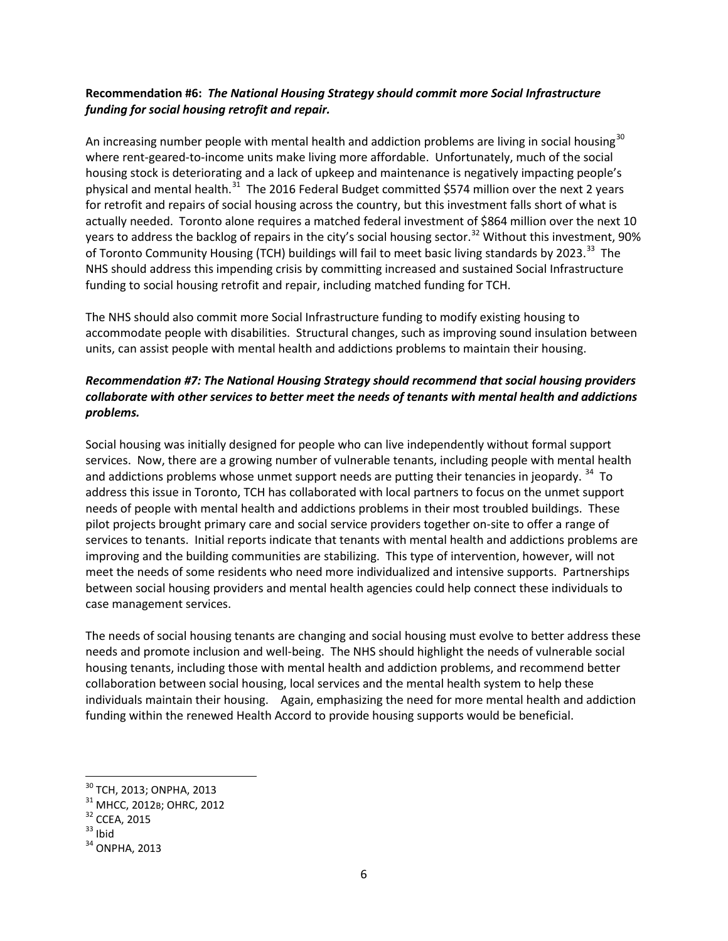### **Recommendation #6:** *The National Housing Strategy should commit more Social Infrastructure funding for social housing retrofit and repair.*

An increasing number people with mental health and addiction problems are living in social housing<sup>[30](#page-5-0)</sup> where rent-geared-to-income units make living more affordable. Unfortunately, much of the social housing stock is deteriorating and a lack of upkeep and maintenance is negatively impacting people's physical and mental health.<sup>[31](#page-5-1)</sup> The 2016 Federal Budget committed \$574 million over the next 2 years for retrofit and repairs of social housing across the country, but this investment falls short of what is actually needed. Toronto alone requires a matched federal investment of \$864 million over the next 10 years to address the backlog of repairs in the city's social housing sector.<sup>[32](#page-5-2)</sup> Without this investment, 90% of Toronto Community Housing (TCH) buildings will fail to meet basic living standards by 2023.<sup>[33](#page-5-3)</sup> The NHS should address this impending crisis by committing increased and sustained Social Infrastructure funding to social housing retrofit and repair, including matched funding for TCH.

The NHS should also commit more Social Infrastructure funding to modify existing housing to accommodate people with disabilities. Structural changes, such as improving sound insulation between units, can assist people with mental health and addictions problems to maintain their housing.

## *Recommendation #7: The National Housing Strategy should recommend that social housing providers collaborate with other services to better meet the needs of tenants with mental health and addictions problems.*

Social housing was initially designed for people who can live independently without formal support services. Now, there are a growing number of vulnerable tenants, including people with mental health and addictions problems whose unmet support needs are putting their tenancies in jeopardy.  $34$  To address this issue in Toronto, TCH has collaborated with local partners to focus on the unmet support needs of people with mental health and addictions problems in their most troubled buildings. These pilot projects brought primary care and social service providers together on-site to offer a range of services to tenants. Initial reports indicate that tenants with mental health and addictions problems are improving and the building communities are stabilizing. This type of intervention, however, will not meet the needs of some residents who need more individualized and intensive supports. Partnerships between social housing providers and mental health agencies could help connect these individuals to case management services.

The needs of social housing tenants are changing and social housing must evolve to better address these needs and promote inclusion and well-being. The NHS should highlight the needs of vulnerable social housing tenants, including those with mental health and addiction problems, and recommend better collaboration between social housing, local services and the mental health system to help these individuals maintain their housing. Again, emphasizing the need for more mental health and addiction funding within the renewed Health Accord to provide housing supports would be beneficial.

<span id="page-5-1"></span><span id="page-5-0"></span><sup>&</sup>lt;sup>30</sup> TCH, 2013; ONPHA, 2013<br><sup>31</sup> MHCC, 2012B; OHRC, 2012<br><sup>32</sup> CCEA, 2015<br><sup>33</sup> Ibid<br><sup>34</sup> ONPHA, 2013

<span id="page-5-2"></span>

<span id="page-5-3"></span>

<span id="page-5-4"></span>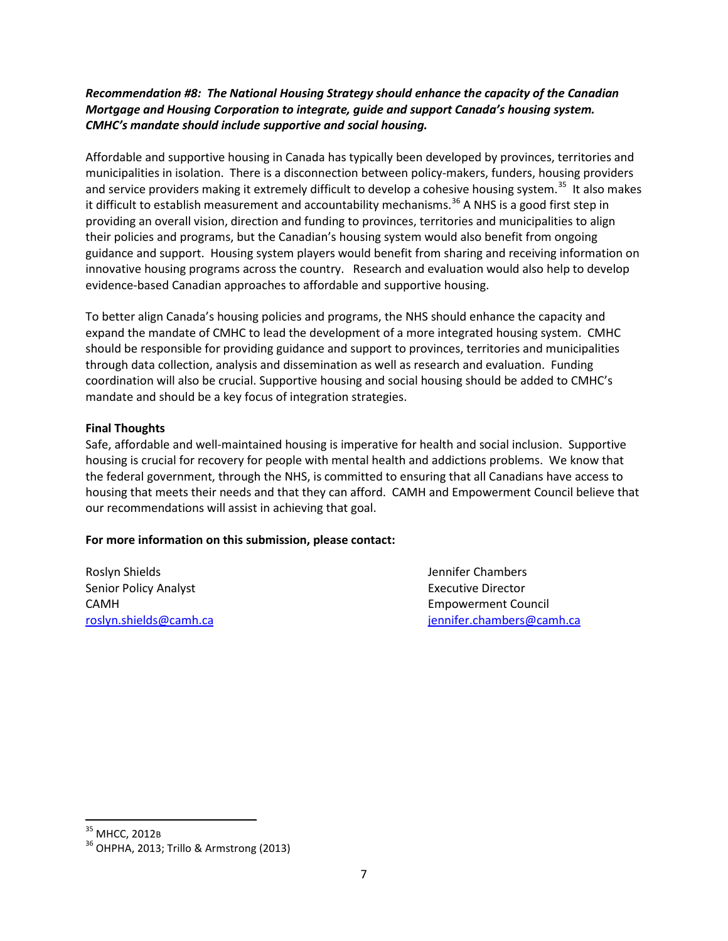#### *Recommendation #8: The National Housing Strategy should enhance the capacity of the Canadian Mortgage and Housing Corporation to integrate, guide and support Canada's housing system. CMHC's mandate should include supportive and social housing.*

Affordable and supportive housing in Canada has typically been developed by provinces, territories and municipalities in isolation. There is a disconnection between policy-makers, funders, housing providers and service providers making it extremely difficult to develop a cohesive housing system.<sup>35</sup> It also makes it difficult to establish measurement and accountability mechanisms.<sup>[36](#page-6-1)</sup> A NHS is a good first step in providing an overall vision, direction and funding to provinces, territories and municipalities to align their policies and programs, but the Canadian's housing system would also benefit from ongoing guidance and support. Housing system players would benefit from sharing and receiving information on innovative housing programs across the country. Research and evaluation would also help to develop evidence-based Canadian approaches to affordable and supportive housing.

To better align Canada's housing policies and programs, the NHS should enhance the capacity and expand the mandate of CMHC to lead the development of a more integrated housing system. CMHC should be responsible for providing guidance and support to provinces, territories and municipalities through data collection, analysis and dissemination as well as research and evaluation. Funding coordination will also be crucial. Supportive housing and social housing should be added to CMHC's mandate and should be a key focus of integration strategies.

#### **Final Thoughts**

Safe, affordable and well-maintained housing is imperative for health and social inclusion. Supportive housing is crucial for recovery for people with mental health and addictions problems. We know that the federal government, through the NHS, is committed to ensuring that all Canadians have access to housing that meets their needs and that they can afford. CAMH and Empowerment Council believe that our recommendations will assist in achieving that goal.

#### **For more information on this submission, please contact:**

Roslyn Shields **Jennifer Chambers** Jennifer Chambers Senior Policy Analyst **Executive Director** CAMH Empowerment Council

[roslyn.shields@camh.ca](mailto:roslyn.shields@camh.ca) [jennifer.chambers@camh.ca](mailto:jennifer.chambers@camh.ca)

<span id="page-6-1"></span>

<span id="page-6-0"></span> $^{\rm 35}$  MHCC, 2012<code>B</code><br> $^{\rm 36}$  OHPHA, 2013; Trillo & Armstrong (2013)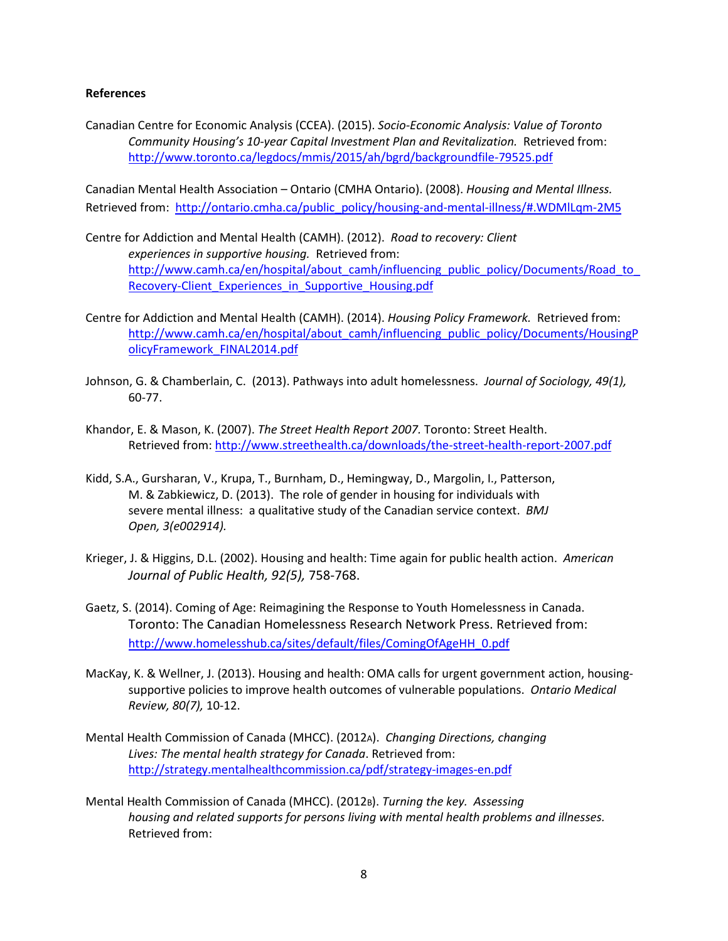#### **References**

Canadian Centre for Economic Analysis (CCEA). (2015). *Socio-Economic Analysis: Value of Toronto Community Housing's 10-year Capital Investment Plan and Revitalization.* Retrieved from: <http://www.toronto.ca/legdocs/mmis/2015/ah/bgrd/backgroundfile-79525.pdf>

Canadian Mental Health Association – Ontario (CMHA Ontario). (2008). *Housing and Mental Illness.*  Retrieved from: [http://ontario.cmha.ca/public\\_policy/housing-and-mental-illness/#.WDMlLqm-2M5](http://ontario.cmha.ca/public_policy/housing-and-mental-illness/#.WDMlLqm-2M5)

- Centre for Addiction and Mental Health (CAMH). (2012). *Road to recovery: Client experiences in supportive housing.* Retrieved from: http://www.camh.ca/en/hospital/about\_camh/influencing\_public\_policy/Documents/Road\_to Recovery-Client Experiences in Supportive Housing.pdf
- Centre for Addiction and Mental Health (CAMH). (2014). *Housing Policy Framework.* Retrieved from: [http://www.camh.ca/en/hospital/about\\_camh/influencing\\_public\\_policy/Documents/HousingP](http://www.camh.ca/en/hospital/about_camh/influencing_public_policy/Documents/HousingPolicyFramework_FINAL2014.pdf) [olicyFramework\\_FINAL2014.pdf](http://www.camh.ca/en/hospital/about_camh/influencing_public_policy/Documents/HousingPolicyFramework_FINAL2014.pdf)
- Johnson, G. & Chamberlain, C. (2013). Pathways into adult homelessness. *Journal of Sociology, 49(1),*  60-77.
- Khandor, E. & Mason, K. (2007). *The Street Health Report 2007.* Toronto: Street Health. Retrieved from:<http://www.streethealth.ca/downloads/the-street-health-report-2007.pdf>
- Kidd, S.A., Gursharan, V., Krupa, T., Burnham, D., Hemingway, D., Margolin, I., Patterson, M. & Zabkiewicz, D. (2013). The role of gender in housing for individuals with severe mental illness: a qualitative study of the Canadian service context. *BMJ Open, 3(e002914).*
- Krieger, J. & Higgins, D.L. (2002). Housing and health: Time again for public health action. *American Journal of Public Health, 92(5),* 758-768.
- Gaetz, S. (2014). Coming of Age: Reimagining the Response to Youth Homelessness in Canada. Toronto: The Canadian Homelessness Research Network Press. Retrieved from: [http://www.homelesshub.ca/sites/default/files/ComingOfAgeHH\\_0.pdf](http://www.homelesshub.ca/sites/default/files/ComingOfAgeHH_0.pdf)
- MacKay, K. & Wellner, J. (2013). Housing and health: OMA calls for urgent government action, housingsupportive policies to improve health outcomes of vulnerable populations. *Ontario Medical Review, 80(7),* 10-12.
- Mental Health Commission of Canada (MHCC). (2012A). *Changing Directions, changing Lives: The mental health strategy for Canada*. Retrieved from: <http://strategy.mentalhealthcommission.ca/pdf/strategy-images-en.pdf>
- Mental Health Commission of Canada (MHCC). (2012B). *Turning the key. Assessing housing and related supports for persons living with mental health problems and illnesses.*  Retrieved from: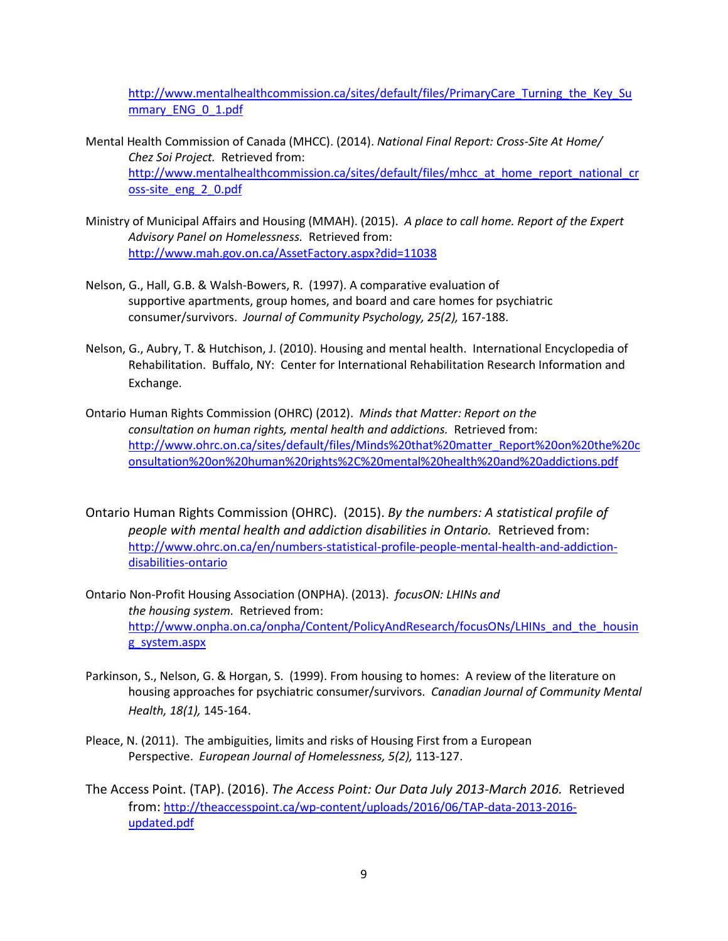[http://www.mentalhealthcommission.ca/sites/default/files/PrimaryCare\\_Turning\\_the\\_Key\\_Su](http://www.mentalhealthcommission.ca/sites/default/files/PrimaryCare_Turning_the_Key_Summary_ENG_0_1.pdf) mmary ENG 0 1.pdf

- Mental Health Commission of Canada (MHCC). (2014). *National Final Report: Cross-Site At Home/ Chez Soi Project.* Retrieved from: [http://www.mentalhealthcommission.ca/sites/default/files/mhcc\\_at\\_home\\_report\\_national\\_cr](http://www.mentalhealthcommission.ca/sites/default/files/mhcc_at_home_report_national_cross-site_eng_2_0.pdf) [oss-site\\_eng\\_2\\_0.pdf](http://www.mentalhealthcommission.ca/sites/default/files/mhcc_at_home_report_national_cross-site_eng_2_0.pdf)
- Ministry of Municipal Affairs and Housing (MMAH). (2015). *A place to call home. Report of the Expert Advisory Panel on Homelessness.* Retrieved from: <http://www.mah.gov.on.ca/AssetFactory.aspx?did=11038>
- Nelson, G., Hall, G.B. & Walsh-Bowers, R. (1997). A comparative evaluation of supportive apartments, group homes, and board and care homes for psychiatric consumer/survivors. *Journal of Community Psychology, 25(2),* 167-188.
- Nelson, G., Aubry, T. & Hutchison, J. (2010). Housing and mental health. International Encyclopedia of Rehabilitation. Buffalo, NY: Center for International Rehabilitation Research Information and Exchange.
- Ontario Human Rights Commission (OHRC) (2012). *Minds that Matter: Report on the consultation on human rights, mental health and addictions.* Retrieved from: [http://www.ohrc.on.ca/sites/default/files/Minds%20that%20matter\\_Report%20on%20the%20c](http://www.ohrc.on.ca/sites/default/files/Minds%20that%20matter_Report%20on%20the%20consultation%20on%20human%20rights%2C%20mental%20health%20and%20addictions.pdf) [onsultation%20on%20human%20rights%2C%20mental%20health%20and%20addictions.pdf](http://www.ohrc.on.ca/sites/default/files/Minds%20that%20matter_Report%20on%20the%20consultation%20on%20human%20rights%2C%20mental%20health%20and%20addictions.pdf)
- Ontario Human Rights Commission (OHRC). (2015). *By the numbers: A statistical profile of people with mental health and addiction disabilities in Ontario.* Retrieved from: [http://www.ohrc.on.ca/en/numbers-statistical-profile-people-mental-health-and-addiction](http://www.ohrc.on.ca/en/numbers-statistical-profile-people-mental-health-and-addiction-disabilities-ontario)[disabilities-ontario](http://www.ohrc.on.ca/en/numbers-statistical-profile-people-mental-health-and-addiction-disabilities-ontario)
- Ontario Non-Profit Housing Association (ONPHA). (2013). *focusON: LHINs and the housing system.* Retrieved from: [http://www.onpha.on.ca/onpha/Content/PolicyAndResearch/focusONs/LHINs\\_and\\_the\\_housin](http://www.onpha.on.ca/onpha/Content/PolicyAndResearch/focusONs/LHINs_and_the_housing_system.aspx) [g\\_system.aspx](http://www.onpha.on.ca/onpha/Content/PolicyAndResearch/focusONs/LHINs_and_the_housing_system.aspx)
- Parkinson, S., Nelson, G. & Horgan, S. (1999). From housing to homes: A review of the literature on housing approaches for psychiatric consumer/survivors. *Canadian Journal of Community Mental Health, 18(1),* 145-164.
- Pleace, N. (2011). The ambiguities, limits and risks of Housing First from a European Perspective. *European Journal of Homelessness, 5(2),* 113-127.
- The Access Point. (TAP). (2016). *The Access Point: Our Data July 2013-March 2016.* Retrieved from[: http://theaccesspoint.ca/wp-content/uploads/2016/06/TAP-data-2013-2016](http://theaccesspoint.ca/wp-content/uploads/2016/06/TAP-data-2013-2016-updated.pdf) [updated.pdf](http://theaccesspoint.ca/wp-content/uploads/2016/06/TAP-data-2013-2016-updated.pdf)